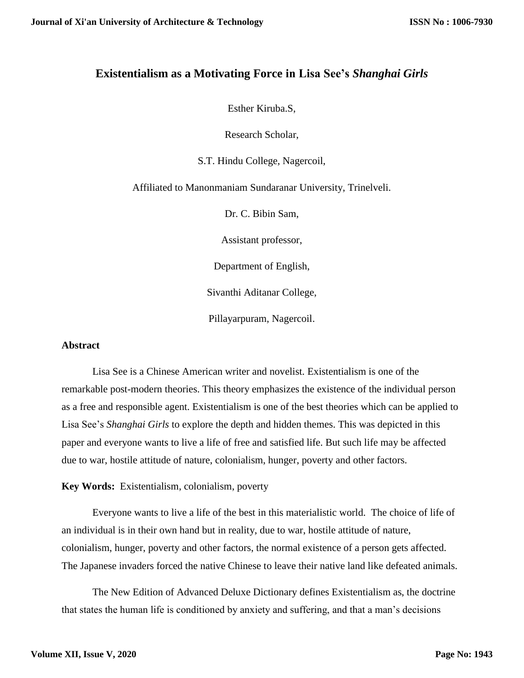# **Existentialism as a Motivating Force in Lisa See's** *Shanghai Girls*

Esther Kiruba.S,

Research Scholar,

S.T. Hindu College, Nagercoil,

Affiliated to Manonmaniam Sundaranar University, Trinelveli.

Dr. C. Bibin Sam,

Assistant professor,

Department of English,

Sivanthi Aditanar College,

Pillayarpuram, Nagercoil.

#### **Abstract**

Lisa See is a Chinese American writer and novelist. Existentialism is one of the remarkable post-modern theories. This theory emphasizes the existence of the individual person as a free and responsible agent. Existentialism is one of the best theories which can be applied to Lisa See's *Shanghai Girls* to explore the depth and hidden themes. This was depicted in this paper and everyone wants to live a life of free and satisfied life. But such life may be affected due to war, hostile attitude of nature, colonialism, hunger, poverty and other factors.

**Key Words:** Existentialism, colonialism, poverty

Everyone wants to live a life of the best in this materialistic world. The choice of life of an individual is in their own hand but in reality, due to war, hostile attitude of nature, colonialism, hunger, poverty and other factors, the normal existence of a person gets affected. The Japanese invaders forced the native Chinese to leave their native land like defeated animals.

The New Edition of Advanced Deluxe Dictionary defines Existentialism as, the doctrine that states the human life is conditioned by anxiety and suffering, and that a man's decisions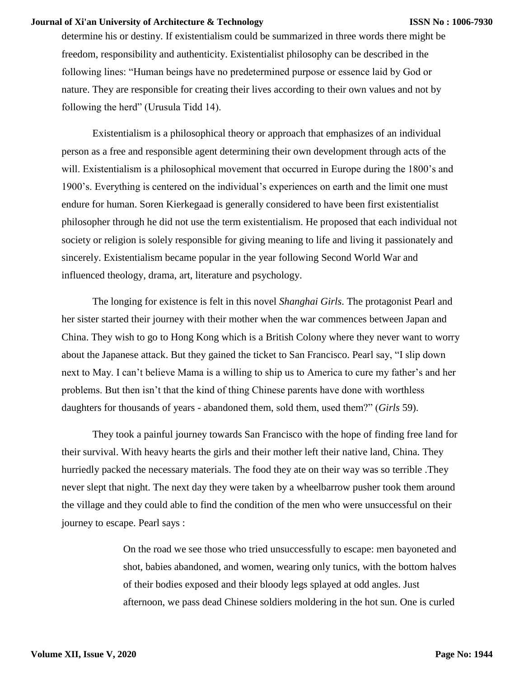determine his or destiny. If existentialism could be summarized in three words there might be freedom, responsibility and authenticity. Existentialist philosophy can be described in the following lines: "Human beings have no predetermined purpose or essence laid by God or nature. They are responsible for creating their lives according to their own values and not by following the herd" (Urusula Tidd 14).

Existentialism is a philosophical theory or approach that emphasizes of an individual person as a free and responsible agent determining their own development through acts of the will. Existentialism is a philosophical movement that occurred in Europe during the 1800's and 1900's. Everything is centered on the individual's experiences on earth and the limit one must endure for human. Soren Kierkegaad is generally considered to have been first existentialist philosopher through he did not use the term existentialism. He proposed that each individual not society or religion is solely responsible for giving meaning to life and living it passionately and sincerely. Existentialism became popular in the year following Second World War and influenced theology, drama, art, literature and psychology.

The longing for existence is felt in this novel *Shanghai Girls*. The protagonist Pearl and her sister started their journey with their mother when the war commences between Japan and China. They wish to go to Hong Kong which is a British Colony where they never want to worry about the Japanese attack. But they gained the ticket to San Francisco. Pearl say, "I slip down next to May. I can't believe Mama is a willing to ship us to America to cure my father's and her problems. But then isn't that the kind of thing Chinese parents have done with worthless daughters for thousands of years - abandoned them, sold them, used them?" (*Girls* 59).

They took a painful journey towards San Francisco with the hope of finding free land for their survival. With heavy hearts the girls and their mother left their native land, China. They hurriedly packed the necessary materials. The food they ate on their way was so terrible .They never slept that night. The next day they were taken by a wheelbarrow pusher took them around the village and they could able to find the condition of the men who were unsuccessful on their journey to escape. Pearl says :

> On the road we see those who tried unsuccessfully to escape: men bayoneted and shot, babies abandoned, and women, wearing only tunics, with the bottom halves of their bodies exposed and their bloody legs splayed at odd angles. Just afternoon, we pass dead Chinese soldiers moldering in the hot sun. One is curled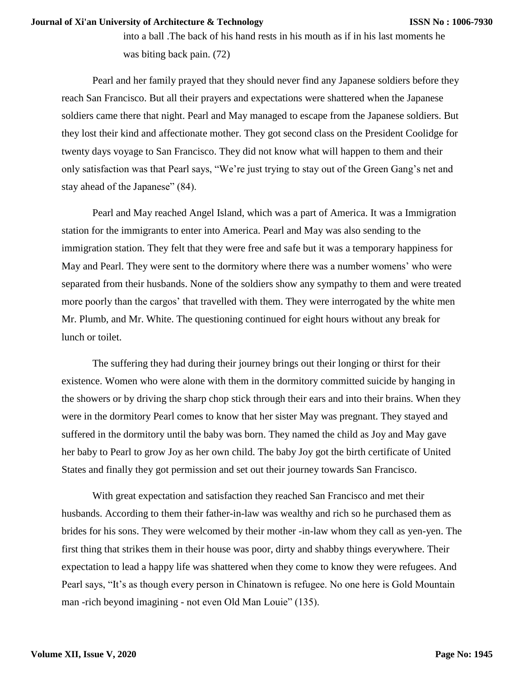into a ball .The back of his hand rests in his mouth as if in his last moments he was biting back pain. (72)

Pearl and her family prayed that they should never find any Japanese soldiers before they reach San Francisco. But all their prayers and expectations were shattered when the Japanese soldiers came there that night. Pearl and May managed to escape from the Japanese soldiers. But they lost their kind and affectionate mother. They got second class on the President Coolidge for twenty days voyage to San Francisco. They did not know what will happen to them and their only satisfaction was that Pearl says, "We're just trying to stay out of the Green Gang's net and stay ahead of the Japanese" (84).

Pearl and May reached Angel Island, which was a part of America. It was a Immigration station for the immigrants to enter into America. Pearl and May was also sending to the immigration station. They felt that they were free and safe but it was a temporary happiness for May and Pearl. They were sent to the dormitory where there was a number womens' who were separated from their husbands. None of the soldiers show any sympathy to them and were treated more poorly than the cargos' that travelled with them. They were interrogated by the white men Mr. Plumb, and Mr. White. The questioning continued for eight hours without any break for lunch or toilet.

The suffering they had during their journey brings out their longing or thirst for their existence. Women who were alone with them in the dormitory committed suicide by hanging in the showers or by driving the sharp chop stick through their ears and into their brains. When they were in the dormitory Pearl comes to know that her sister May was pregnant. They stayed and suffered in the dormitory until the baby was born. They named the child as Joy and May gave her baby to Pearl to grow Joy as her own child. The baby Joy got the birth certificate of United States and finally they got permission and set out their journey towards San Francisco.

With great expectation and satisfaction they reached San Francisco and met their husbands. According to them their father-in-law was wealthy and rich so he purchased them as brides for his sons. They were welcomed by their mother -in-law whom they call as yen-yen. The first thing that strikes them in their house was poor, dirty and shabby things everywhere. Their expectation to lead a happy life was shattered when they come to know they were refugees. And Pearl says, "It's as though every person in Chinatown is refugee. No one here is Gold Mountain man -rich beyond imagining - not even Old Man Louie" (135).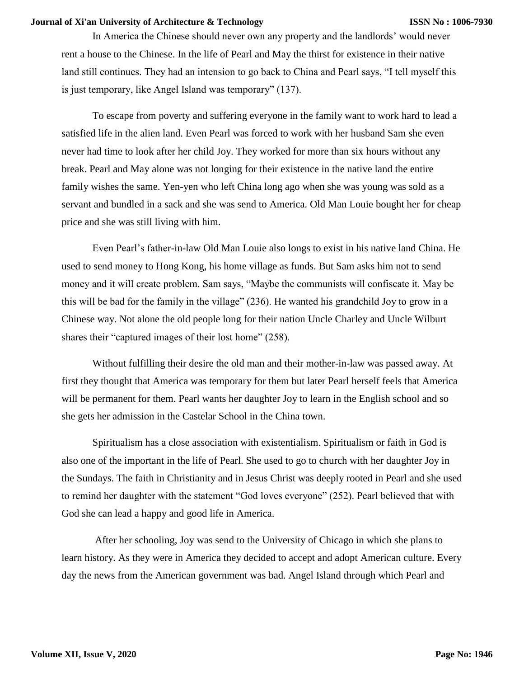In America the Chinese should never own any property and the landlords' would never rent a house to the Chinese. In the life of Pearl and May the thirst for existence in their native land still continues. They had an intension to go back to China and Pearl says, "I tell myself this is just temporary, like Angel Island was temporary" (137).

To escape from poverty and suffering everyone in the family want to work hard to lead a satisfied life in the alien land. Even Pearl was forced to work with her husband Sam she even never had time to look after her child Joy. They worked for more than six hours without any break. Pearl and May alone was not longing for their existence in the native land the entire family wishes the same. Yen-yen who left China long ago when she was young was sold as a servant and bundled in a sack and she was send to America. Old Man Louie bought her for cheap price and she was still living with him.

Even Pearl's father-in-law Old Man Louie also longs to exist in his native land China. He used to send money to Hong Kong, his home village as funds. But Sam asks him not to send money and it will create problem. Sam says, "Maybe the communists will confiscate it. May be this will be bad for the family in the village" (236). He wanted his grandchild Joy to grow in a Chinese way. Not alone the old people long for their nation Uncle Charley and Uncle Wilburt shares their "captured images of their lost home" (258).

Without fulfilling their desire the old man and their mother-in-law was passed away. At first they thought that America was temporary for them but later Pearl herself feels that America will be permanent for them. Pearl wants her daughter Joy to learn in the English school and so she gets her admission in the Castelar School in the China town.

Spiritualism has a close association with existentialism. Spiritualism or faith in God is also one of the important in the life of Pearl. She used to go to church with her daughter Joy in the Sundays. The faith in Christianity and in Jesus Christ was deeply rooted in Pearl and she used to remind her daughter with the statement "God loves everyone" (252). Pearl believed that with God she can lead a happy and good life in America.

After her schooling, Joy was send to the University of Chicago in which she plans to learn history. As they were in America they decided to accept and adopt American culture. Every day the news from the American government was bad. Angel Island through which Pearl and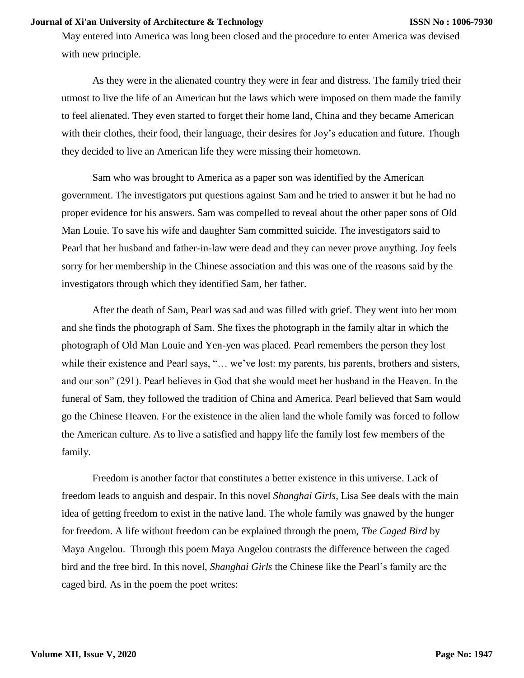May entered into America was long been closed and the procedure to enter America was devised with new principle.

As they were in the alienated country they were in fear and distress. The family tried their utmost to live the life of an American but the laws which were imposed on them made the family to feel alienated. They even started to forget their home land, China and they became American with their clothes, their food, their language, their desires for Joy's education and future. Though they decided to live an American life they were missing their hometown.

Sam who was brought to America as a paper son was identified by the American government. The investigators put questions against Sam and he tried to answer it but he had no proper evidence for his answers. Sam was compelled to reveal about the other paper sons of Old Man Louie. To save his wife and daughter Sam committed suicide. The investigators said to Pearl that her husband and father-in-law were dead and they can never prove anything. Joy feels sorry for her membership in the Chinese association and this was one of the reasons said by the investigators through which they identified Sam, her father.

After the death of Sam, Pearl was sad and was filled with grief. They went into her room and she finds the photograph of Sam. She fixes the photograph in the family altar in which the photograph of Old Man Louie and Yen-yen was placed. Pearl remembers the person they lost while their existence and Pearl says, "... we've lost: my parents, his parents, brothers and sisters, and our son" (291). Pearl believes in God that she would meet her husband in the Heaven. In the funeral of Sam, they followed the tradition of China and America. Pearl believed that Sam would go the Chinese Heaven. For the existence in the alien land the whole family was forced to follow the American culture. As to live a satisfied and happy life the family lost few members of the family.

Freedom is another factor that constitutes a better existence in this universe. Lack of freedom leads to anguish and despair. In this novel *Shanghai Girls,* Lisa See deals with the main idea of getting freedom to exist in the native land. The whole family was gnawed by the hunger for freedom. A life without freedom can be explained through the poem, *The Caged Bird* by Maya Angelou. Through this poem Maya Angelou contrasts the difference between the caged bird and the free bird. In this novel, *Shanghai Girls* the Chinese like the Pearl's family are the caged bird. As in the poem the poet writes: